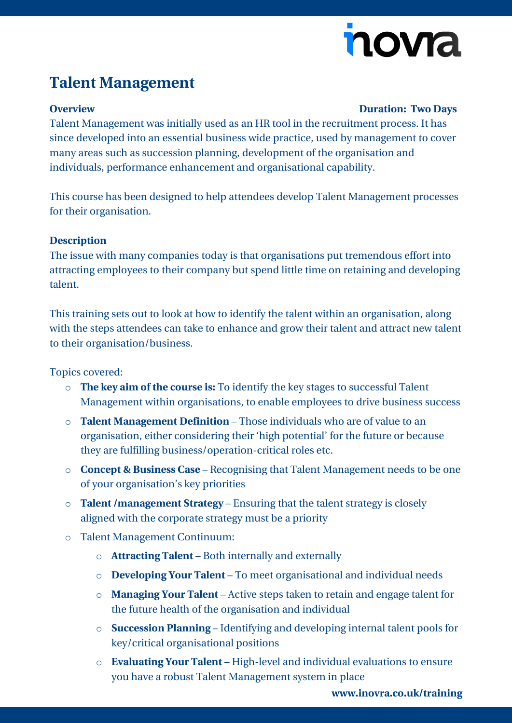# novia

## **Talent Management**

### **Overview Duration: Two Days**

Talent Management was initially used as an HR tool in the recruitment process. It has since developed into an essential business wide practice, used by management to cover many areas such as succession planning, development of the organisation and individuals, performance enhancement and organisational capability.

This course has been designed to help attendees develop Talent Management processes for their organisation.

#### **Description**

The issue with many companies today is that organisations put tremendous effort into attracting employees to their company but spend little time on retaining and developing talent.

This training sets out to look at how to identify the talent within an organisation, along with the steps attendees can take to enhance and grow their talent and attract new talent to their organisation/business.

Topics covered:

- o **The key aim of the course is:** To identify the key stages to successful Talent Management within organisations, to enable employees to drive business success
- o **Talent Management Definition** Those individuals who are of value to an organisation, either considering their 'high potential' for the future or because they are fulfilling business/operation-critical roles etc.
- o **Concept & Business Case** Recognising that Talent Management needs to be one of your organisation's key priorities
- o **Talent /management Strategy** Ensuring that the talent strategy is closely aligned with the corporate strategy must be a priority
- o Talent Management Continuum:
	- o **Attracting Talent** Both internally and externally
	- o **Developing Your Talent** To meet organisational and individual needs
	- o **Managing Your Talent** Active steps taken to retain and engage talent for the future health of the organisation and individual
	- o **Succession Planning** Identifying and developing internal talent pools for key/critical organisational positions
	- o **Evaluating Your Talent** High-level and individual evaluations to ensure you have a robust Talent Management system in place

**[www.inovra.co.uk/training](http://www.inovra.co.uk/training)**